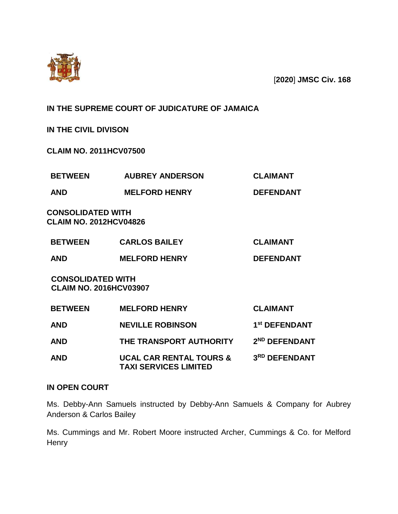

[**2020**] **JMSC Civ. 168**

**IN THE SUPREME COURT OF JUDICATURE OF JAMAICA**

**IN THE CIVIL DIVISON**

**CLAIM NO. 2011HCV07500**

| <b>BETWEEN</b>                                            | <b>AUBREY ANDERSON</b>             | <b>CLAIMANT</b>           |
|-----------------------------------------------------------|------------------------------------|---------------------------|
| <b>AND</b>                                                | <b>MELFORD HENRY</b>               | <b>DEFENDANT</b>          |
| <b>CONSOLIDATED WITH</b><br><b>CLAIM NO. 2012HCV04826</b> |                                    |                           |
| <b>BETWEEN</b>                                            | <b>CARLOS BAILEY</b>               | <b>CLAIMANT</b>           |
| <b>AND</b>                                                | <b>MELFORD HENRY</b>               | <b>DEFENDANT</b>          |
| <b>CONSOLIDATED WITH</b><br><b>CLAIM NO. 2016HCV03907</b> |                                    |                           |
| <b>BETWEEN</b>                                            | <b>MELFORD HENRY</b>               | <b>CLAIMANT</b>           |
| <b>AND</b>                                                | <b>NEVILLE ROBINSON</b>            | 1 <sup>st</sup> DEFENDANT |
| <b>AND</b>                                                | THE TRANSPORT AUTHORITY            | 2 <sup>ND</sup> DEFENDANT |
| AND                                                       | <b>UCAL CAR RENTAL TOURS &amp;</b> | 3RD DEFENDANT             |

**TAXI SERVICES LIMITED** 

# **IN OPEN COURT**

Ms. Debby-Ann Samuels instructed by Debby-Ann Samuels & Company for Aubrey Anderson & Carlos Bailey

Ms. Cummings and Mr. Robert Moore instructed Archer, Cummings & Co. for Melford **Henry**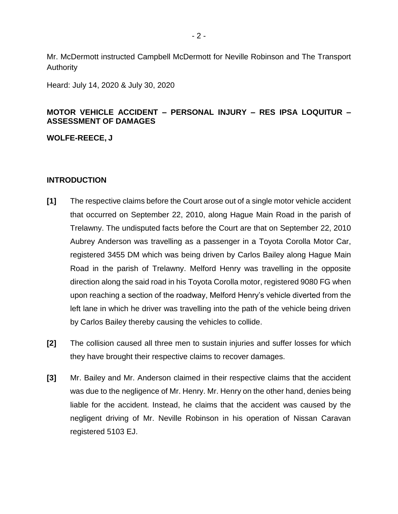Mr. McDermott instructed Campbell McDermott for Neville Robinson and The Transport Authority

Heard: July 14, 2020 & July 30, 2020

## **MOTOR VEHICLE ACCIDENT – PERSONAL INJURY – RES IPSA LOQUITUR – ASSESSMENT OF DAMAGES**

**WOLFE-REECE, J**

## **INTRODUCTION**

- **[1]** The respective claims before the Court arose out of a single motor vehicle accident that occurred on September 22, 2010, along Hague Main Road in the parish of Trelawny. The undisputed facts before the Court are that on September 22, 2010 Aubrey Anderson was travelling as a passenger in a Toyota Corolla Motor Car, registered 3455 DM which was being driven by Carlos Bailey along Hague Main Road in the parish of Trelawny. Melford Henry was travelling in the opposite direction along the said road in his Toyota Corolla motor, registered 9080 FG when upon reaching a section of the roadway, Melford Henry's vehicle diverted from the left lane in which he driver was travelling into the path of the vehicle being driven by Carlos Bailey thereby causing the vehicles to collide.
- **[2]** The collision caused all three men to sustain injuries and suffer losses for which they have brought their respective claims to recover damages.
- **[3]** Mr. Bailey and Mr. Anderson claimed in their respective claims that the accident was due to the negligence of Mr. Henry. Mr. Henry on the other hand, denies being liable for the accident. Instead, he claims that the accident was caused by the negligent driving of Mr. Neville Robinson in his operation of Nissan Caravan registered 5103 EJ.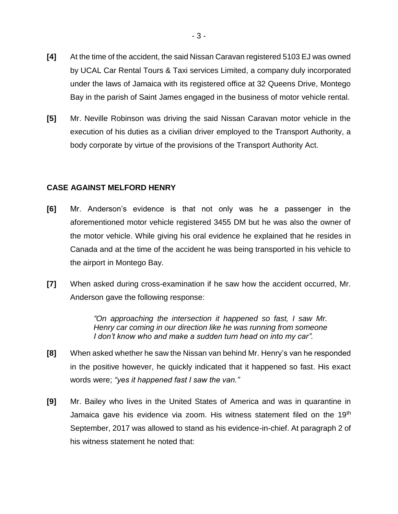- **[4]** At the time of the accident, the said Nissan Caravan registered 5103 EJ was owned by UCAL Car Rental Tours & Taxi services Limited, a company duly incorporated under the laws of Jamaica with its registered office at 32 Queens Drive, Montego Bay in the parish of Saint James engaged in the business of motor vehicle rental.
- **[5]** Mr. Neville Robinson was driving the said Nissan Caravan motor vehicle in the execution of his duties as a civilian driver employed to the Transport Authority, a body corporate by virtue of the provisions of the Transport Authority Act.

## **CASE AGAINST MELFORD HENRY**

- **[6]** Mr. Anderson's evidence is that not only was he a passenger in the aforementioned motor vehicle registered 3455 DM but he was also the owner of the motor vehicle. While giving his oral evidence he explained that he resides in Canada and at the time of the accident he was being transported in his vehicle to the airport in Montego Bay.
- **[7]** When asked during cross-examination if he saw how the accident occurred, Mr. Anderson gave the following response:

*"On approaching the intersection it happened so fast, I saw Mr. Henry car coming in our direction like he was running from someone I don't know who and make a sudden turn head on into my car".* 

- **[8]** When asked whether he saw the Nissan van behind Mr. Henry's van he responded in the positive however, he quickly indicated that it happened so fast. His exact words were; *"yes it happened fast I saw the van."*
- **[9]** Mr. Bailey who lives in the United States of America and was in quarantine in Jamaica gave his evidence via zoom. His witness statement filed on the 19<sup>th</sup> September, 2017 was allowed to stand as his evidence-in-chief. At paragraph 2 of his witness statement he noted that: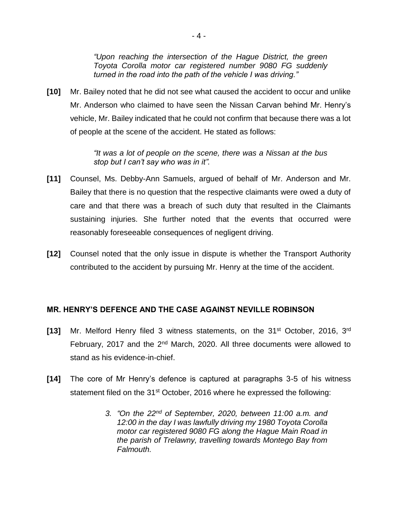*"Upon reaching the intersection of the Hague District, the green Toyota Corolla motor car registered number 9080 FG suddenly turned in the road into the path of the vehicle I was driving."*

**[10]** Mr. Bailey noted that he did not see what caused the accident to occur and unlike Mr. Anderson who claimed to have seen the Nissan Carvan behind Mr. Henry's vehicle, Mr. Bailey indicated that he could not confirm that because there was a lot of people at the scene of the accident. He stated as follows:

> *"It was a lot of people on the scene, there was a Nissan at the bus stop but I can't say who was in it".*

- **[11]** Counsel, Ms. Debby-Ann Samuels, argued of behalf of Mr. Anderson and Mr. Bailey that there is no question that the respective claimants were owed a duty of care and that there was a breach of such duty that resulted in the Claimants sustaining injuries. She further noted that the events that occurred were reasonably foreseeable consequences of negligent driving.
- **[12]** Counsel noted that the only issue in dispute is whether the Transport Authority contributed to the accident by pursuing Mr. Henry at the time of the accident.

## **MR. HENRY'S DEFENCE AND THE CASE AGAINST NEVILLE ROBINSON**

- **[13]** Mr. Melford Henry filed 3 witness statements, on the 31st October, 2016, 3rd February, 2017 and the  $2^{nd}$  March, 2020. All three documents were allowed to stand as his evidence-in-chief.
- **[14]** The core of Mr Henry's defence is captured at paragraphs 3-5 of his witness statement filed on the 31<sup>st</sup> October, 2016 where he expressed the following:
	- *3. "On the 22nd of September, 2020, between 11:00 a.m. and 12:00 in the day I was lawfully driving my 1980 Toyota Corolla motor car registered 9080 FG along the Hague Main Road in the parish of Trelawny, travelling towards Montego Bay from Falmouth.*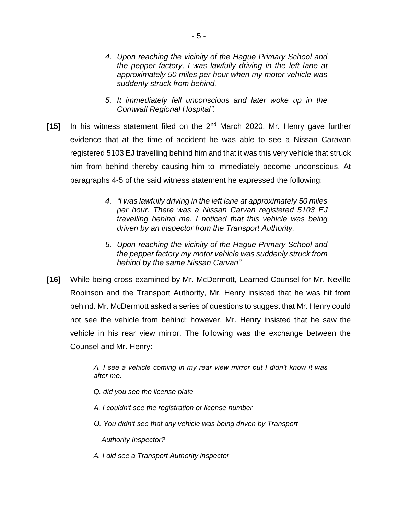- *4. Upon reaching the vicinity of the Hague Primary School and the pepper factory, I was lawfully driving in the left lane at approximately 50 miles per hour when my motor vehicle was suddenly struck from behind.*
- *5. It immediately fell unconscious and later woke up in the Cornwall Regional Hospital".*
- **[15]** In his witness statement filed on the 2nd March 2020, Mr. Henry gave further evidence that at the time of accident he was able to see a Nissan Caravan registered 5103 EJ travelling behind him and that it was this very vehicle that struck him from behind thereby causing him to immediately become unconscious. At paragraphs 4-5 of the said witness statement he expressed the following:
	- *4. "I was lawfully driving in the left lane at approximately 50 miles per hour. There was a Nissan Carvan registered 5103 EJ travelling behind me. I noticed that this vehicle was being driven by an inspector from the Transport Authority.*
	- *5. Upon reaching the vicinity of the Hague Primary School and the pepper factory my motor vehicle was suddenly struck from behind by the same Nissan Carvan"*
- **[16]** While being cross-examined by Mr. McDermott, Learned Counsel for Mr. Neville Robinson and the Transport Authority, Mr. Henry insisted that he was hit from behind. Mr. McDermott asked a series of questions to suggest that Mr. Henry could not see the vehicle from behind; however, Mr. Henry insisted that he saw the vehicle in his rear view mirror. The following was the exchange between the Counsel and Mr. Henry:

*A. I see a vehicle coming in my rear view mirror but I didn't know it was after me.*

*Q. did you see the license plate*

- *A. I couldn't see the registration or license number*
- *Q. You didn't see that any vehicle was being driven by Transport*

 *Authority Inspector?*

*A. I did see a Transport Authority inspector*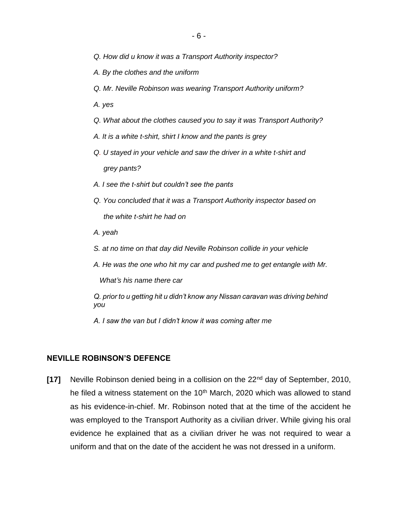- *Q. How did u know it was a Transport Authority inspector?*
- *A. By the clothes and the uniform*
- *Q. Mr. Neville Robinson was wearing Transport Authority uniform?*
- *A. yes*
- *Q. What about the clothes caused you to say it was Transport Authority?*
- *A. It is a white t-shirt, shirt I know and the pants is grey*
- *Q. U stayed in your vehicle and saw the driver in a white t-shirt and grey pants?*
- *A. I see the t-shirt but couldn't see the pants*
- *Q. You concluded that it was a Transport Authority inspector based on the white t-shirt he had on*
- *A. yeah*
- *S. at no time on that day did Neville Robinson collide in your vehicle*
- *A. He was the one who hit my car and pushed me to get entangle with Mr.*

 *What's his name there car*

*Q. prior to u getting hit u didn't know any Nissan caravan was driving behind you*

*A. I saw the van but I didn't know it was coming after me*

#### **NEVILLE ROBINSON'S DEFENCE**

**[17]** Neville Robinson denied being in a collision on the 22<sup>nd</sup> day of September, 2010, he filed a witness statement on the  $10<sup>th</sup>$  March, 2020 which was allowed to stand as his evidence-in-chief. Mr. Robinson noted that at the time of the accident he was employed to the Transport Authority as a civilian driver. While giving his oral evidence he explained that as a civilian driver he was not required to wear a uniform and that on the date of the accident he was not dressed in a uniform.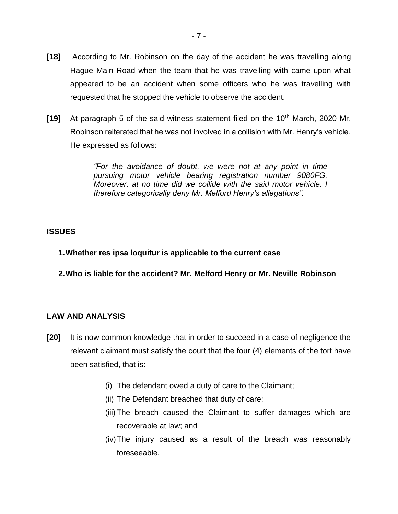- **[18]** According to Mr. Robinson on the day of the accident he was travelling along Hague Main Road when the team that he was travelling with came upon what appeared to be an accident when some officers who he was travelling with requested that he stopped the vehicle to observe the accident.
- **[19]** At paragraph 5 of the said witness statement filed on the 10<sup>th</sup> March, 2020 Mr. Robinson reiterated that he was not involved in a collision with Mr. Henry's vehicle. He expressed as follows:

*"For the avoidance of doubt, we were not at any point in time pursuing motor vehicle bearing registration number 9080FG. Moreover, at no time did we collide with the said motor vehicle. I therefore categorically deny Mr. Melford Henry's allegations".* 

## **ISSUES**

**1.Whether res ipsa loquitur is applicable to the current case**

**2.Who is liable for the accident? Mr. Melford Henry or Mr. Neville Robinson**

## **LAW AND ANALYSIS**

- **[20]** It is now common knowledge that in order to succeed in a case of negligence the relevant claimant must satisfy the court that the four (4) elements of the tort have been satisfied, that is:
	- (i) The defendant owed a duty of care to the Claimant;
	- (ii) The Defendant breached that duty of care;
	- (iii) The breach caused the Claimant to suffer damages which are recoverable at law; and
	- (iv)The injury caused as a result of the breach was reasonably foreseeable.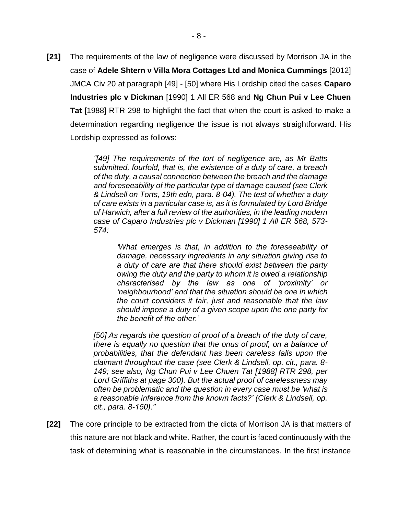**[21]** The requirements of the law of negligence were discussed by Morrison JA in the case of **Adele Shtern v Villa Mora Cottages Ltd and Monica Cummings** [2012] JMCA Civ 20 at paragraph [49] - [50] where His Lordship cited the cases **Caparo Industries plc v Dickman** [1990] 1 All ER 568 and **Ng Chun Pui v Lee Chuen Tat** [1988] RTR 298 to highlight the fact that when the court is asked to make a determination regarding negligence the issue is not always straightforward. His Lordship expressed as follows:

> *"[49] The requirements of the tort of negligence are, as Mr Batts submitted, fourfold, that is, the existence of a duty of care, a breach of the duty, a causal connection between the breach and the damage and foreseeability of the particular type of damage caused (see Clerk & Lindsell on Torts, 19th edn, para. 8-04). The test of whether a duty of care exists in a particular case is, as it is formulated by Lord Bridge of Harwich, after a full review of the authorities, in the leading modern case of Caparo Industries plc v Dickman [1990] 1 All ER 568, 573- 574:*

*'What emerges is that, in addition to the foreseeability of damage, necessary ingredients in any situation giving rise to a duty of care are that there should exist between the party owing the duty and the party to whom it is owed a relationship characterised by the law as one of 'proximity' or 'neighbourhood' and that the situation should be one in which the court considers it fair, just and reasonable that the law should impose a duty of a given scope upon the one party for the benefit of the other.'*

*[50] As regards the question of proof of a breach of the duty of care, there is equally no question that the onus of proof, on a balance of probabilities, that the defendant has been careless falls upon the claimant throughout the case (see Clerk & Lindsell, op. cit., para. 8- 149; see also, Ng Chun Pui v Lee Chuen Tat [1988] RTR 298, per Lord Griffiths at page 300). But the actual proof of carelessness may often be problematic and the question in every case must be 'what is a reasonable inference from the known facts?' (Clerk & Lindsell, op. cit., para. 8-150)."*

**[22]** The core principle to be extracted from the dicta of Morrison JA is that matters of this nature are not black and white. Rather, the court is faced continuously with the task of determining what is reasonable in the circumstances. In the first instance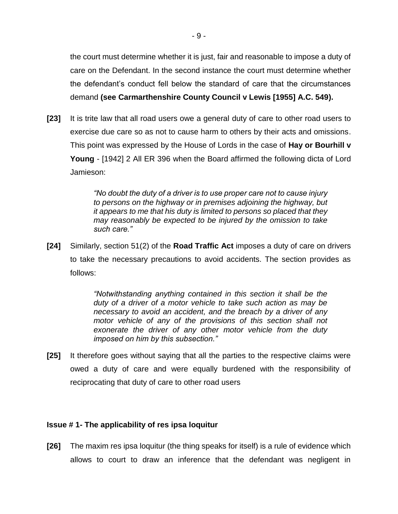the court must determine whether it is just, fair and reasonable to impose a duty of care on the Defendant. In the second instance the court must determine whether the defendant's conduct fell below the standard of care that the circumstances demand **(see Carmarthenshire County Council v Lewis [1955] A.C. 549).**

**[23]** It is trite law that all road users owe a general duty of care to other road users to exercise due care so as not to cause harm to others by their acts and omissions. This point was expressed by the House of Lords in the case of **Hay or Bourhill v Young** - [1942] 2 All ER 396 when the Board affirmed the following dicta of Lord Jamieson:

> *"No doubt the duty of a driver is to use proper care not to cause injury to persons on the highway or in premises adjoining the highway, but it appears to me that his duty is limited to persons so placed that they may reasonably be expected to be injured by the omission to take such care."*

**[24]** Similarly, section 51(2) of the **Road Traffic Act** imposes a duty of care on drivers to take the necessary precautions to avoid accidents. The section provides as follows:

> *"Notwithstanding anything contained in this section it shall be the duty of a driver of a motor vehicle to take such action as may be necessary to avoid an accident, and the breach by a driver of any motor vehicle of any of the provisions of this section shall not exonerate the driver of any other motor vehicle from the duty imposed on him by this subsection."*

**[25]** It therefore goes without saying that all the parties to the respective claims were owed a duty of care and were equally burdened with the responsibility of reciprocating that duty of care to other road users

#### **Issue # 1- The applicability of res ipsa loquitur**

**[26]** The maxim res ipsa loquitur (the thing speaks for itself) is a rule of evidence which allows to court to draw an inference that the defendant was negligent in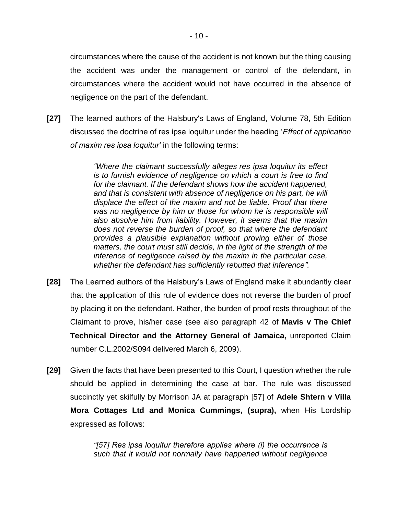circumstances where the cause of the accident is not known but the thing causing the accident was under the management or control of the defendant, in circumstances where the accident would not have occurred in the absence of negligence on the part of the defendant.

**[27]** The learned authors of the Halsbury's Laws of England, Volume 78, 5th Edition discussed the doctrine of res ipsa loquitur under the heading '*Effect of application of maxim res ipsa loquitur'* in the following terms:

> *"Where the claimant successfully alleges res ipsa loquitur its effect is to furnish evidence of negligence on which a court is free to find for the claimant. If the defendant shows how the accident happened, and that is consistent with absence of negligence on his part, he will displace the effect of the maxim and not be liable. Proof that there*  was no negligence by him or those for whom he is responsible will *also absolve him from liability. However, it seems that the maxim does not reverse the burden of proof, so that where the defendant provides a plausible explanation without proving either of those matters, the court must still decide, in the light of the strength of the inference of negligence raised by the maxim in the particular case, whether the defendant has sufficiently rebutted that inference".*

- **[28]** The Learned authors of the Halsbury's Laws of England make it abundantly clear that the application of this rule of evidence does not reverse the burden of proof by placing it on the defendant. Rather, the burden of proof rests throughout of the Claimant to prove, his/her case (see also paragraph 42 of **Mavis v The Chief Technical Director and the Attorney General of Jamaica,** unreported Claim number C.L.2002/S094 delivered March 6, 2009).
- **[29]** Given the facts that have been presented to this Court, I question whether the rule should be applied in determining the case at bar. The rule was discussed succinctly yet skilfully by Morrison JA at paragraph [57] of **Adele Shtern v Villa Mora Cottages Ltd and Monica Cummings, (supra),** when His Lordship expressed as follows:

*"[57] Res ipsa loquitur therefore applies where (i) the occurrence is such that it would not normally have happened without negligence*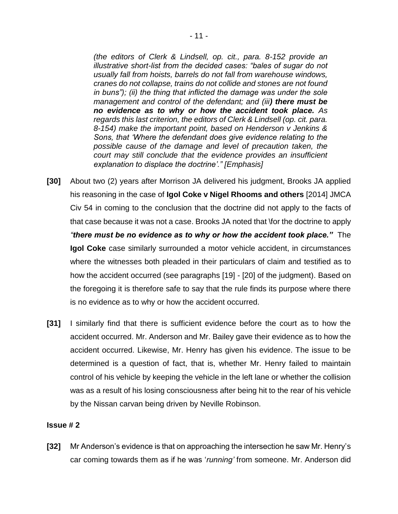*(the editors of Clerk & Lindsell, op. cit., para. 8-152 provide an illustrative short-list from the decided cases: "bales of sugar do not usually fall from hoists, barrels do not fall from warehouse windows, cranes do not collapse, trains do not collide and stones are not found in buns"); (ii) the thing that inflicted the damage was under the sole management and control of the defendant; and (iii) there must be no evidence as to why or how the accident took place. As regards this last criterion, the editors of Clerk & Lindsell (op. cit. para. 8-154) make the important point, based on Henderson v Jenkins & Sons, that 'Where the defendant does give evidence relating to the possible cause of the damage and level of precaution taken, the court may still conclude that the evidence provides an insufficient explanation to displace the doctrine'." [Emphasis]* 

- **[30]** About two (2) years after Morrison JA delivered his judgment, Brooks JA applied his reasoning in the case of **Igol Coke v Nigel Rhooms and others** [2014] JMCA Civ 54 in coming to the conclusion that the doctrine did not apply to the facts of that case because it was not a case. Brooks JA noted that \for the doctrine to apply *"there must be no evidence as to why or how the accident took place."* The **Igol Coke** case similarly surrounded a motor vehicle accident, in circumstances where the witnesses both pleaded in their particulars of claim and testified as to how the accident occurred (see paragraphs [19] - [20] of the judgment). Based on the foregoing it is therefore safe to say that the rule finds its purpose where there is no evidence as to why or how the accident occurred.
- **[31]** I similarly find that there is sufficient evidence before the court as to how the accident occurred. Mr. Anderson and Mr. Bailey gave their evidence as to how the accident occurred. Likewise, Mr. Henry has given his evidence. The issue to be determined is a question of fact, that is, whether Mr. Henry failed to maintain control of his vehicle by keeping the vehicle in the left lane or whether the collision was as a result of his losing consciousness after being hit to the rear of his vehicle by the Nissan carvan being driven by Neville Robinson.

#### **Issue # 2**

**[32]** Mr Anderson's evidence is that on approaching the intersection he saw Mr. Henry's car coming towards them as if he was '*running'* from someone. Mr. Anderson did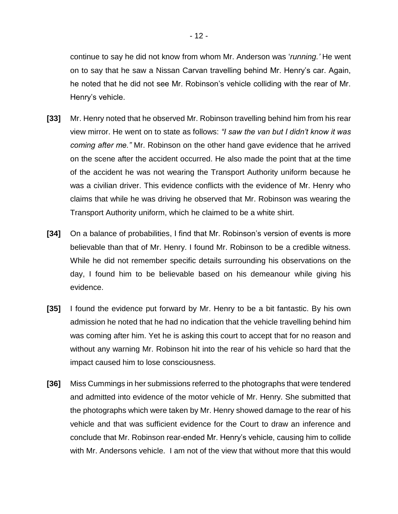continue to say he did not know from whom Mr. Anderson was '*running.'* He went on to say that he saw a Nissan Carvan travelling behind Mr. Henry's car. Again, he noted that he did not see Mr. Robinson's vehicle colliding with the rear of Mr. Henry's vehicle.

- **[33]** Mr. Henry noted that he observed Mr. Robinson travelling behind him from his rear view mirror. He went on to state as follows: *"I saw the van but I didn't know it was coming after me."* Mr. Robinson on the other hand gave evidence that he arrived on the scene after the accident occurred. He also made the point that at the time of the accident he was not wearing the Transport Authority uniform because he was a civilian driver. This evidence conflicts with the evidence of Mr. Henry who claims that while he was driving he observed that Mr. Robinson was wearing the Transport Authority uniform, which he claimed to be a white shirt.
- **[34]** On a balance of probabilities, I find that Mr. Robinson's version of events is more believable than that of Mr. Henry. I found Mr. Robinson to be a credible witness. While he did not remember specific details surrounding his observations on the day, I found him to be believable based on his demeanour while giving his evidence.
- **[35]** I found the evidence put forward by Mr. Henry to be a bit fantastic. By his own admission he noted that he had no indication that the vehicle travelling behind him was coming after him. Yet he is asking this court to accept that for no reason and without any warning Mr. Robinson hit into the rear of his vehicle so hard that the impact caused him to lose consciousness.
- **[36]** Miss Cummings in her submissions referred to the photographs that were tendered and admitted into evidence of the motor vehicle of Mr. Henry. She submitted that the photographs which were taken by Mr. Henry showed damage to the rear of his vehicle and that was sufficient evidence for the Court to draw an inference and conclude that Mr. Robinson rear-ended Mr. Henry's vehicle, causing him to collide with Mr. Andersons vehicle. I am not of the view that without more that this would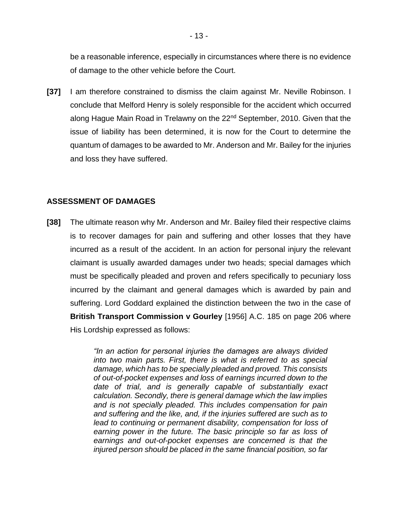be a reasonable inference, especially in circumstances where there is no evidence of damage to the other vehicle before the Court.

**[37]** I am therefore constrained to dismiss the claim against Mr. Neville Robinson. I conclude that Melford Henry is solely responsible for the accident which occurred along Hague Main Road in Trelawny on the 22<sup>nd</sup> September, 2010. Given that the issue of liability has been determined, it is now for the Court to determine the quantum of damages to be awarded to Mr. Anderson and Mr. Bailey for the injuries and loss they have suffered.

### **ASSESSMENT OF DAMAGES**

**[38]** The ultimate reason why Mr. Anderson and Mr. Bailey filed their respective claims is to recover damages for pain and suffering and other losses that they have incurred as a result of the accident. In an action for personal injury the relevant claimant is usually awarded damages under two heads; special damages which must be specifically pleaded and proven and refers specifically to pecuniary loss incurred by the claimant and general damages which is awarded by pain and suffering. Lord Goddard explained the distinction between the two in the case of **British Transport Commission v Gourley** [1956] A.C. 185 on page 206 where His Lordship expressed as follows:

> *"In an action for personal injuries the damages are always divided into two main parts. First, there is what is referred to as special damage, which has to be specially pleaded and proved. This consists of out-of-pocket expenses and loss of earnings incurred down to the date of trial, and is generally capable of substantially exact calculation. Secondly, there is general damage which the law implies and is not specially pleaded. This includes compensation for pain and suffering and the like, and, if the injuries suffered are such as to lead to continuing or permanent disability, compensation for loss of earning power in the future. The basic principle so far as loss of earnings and out-of-pocket expenses are concerned is that the injured person should be placed in the same financial position, so far*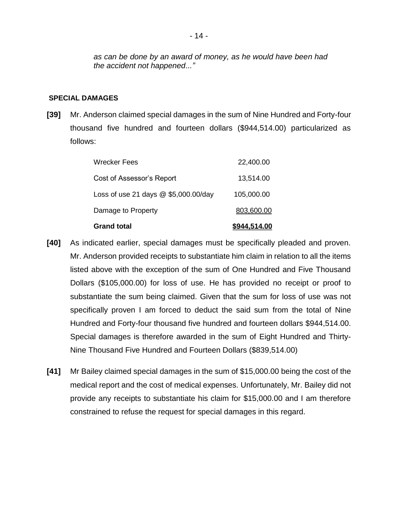*as can be done by an award of money, as he would have been had the accident not happened..."*

#### **SPECIAL DAMAGES**

**[39]** Mr. Anderson claimed special damages in the sum of Nine Hundred and Forty-four thousand five hundred and fourteen dollars (\$944,514.00) particularized as follows:

| <b>Grand total</b>                     | \$944.514.00 |
|----------------------------------------|--------------|
| Damage to Property                     | 803,600.00   |
| Loss of use 21 days $@$ \$5,000.00/day | 105,000.00   |
| Cost of Assessor's Report              | 13,514.00    |
| <b>Wrecker Fees</b>                    | 22,400.00    |

- **[40]** As indicated earlier, special damages must be specifically pleaded and proven. Mr. Anderson provided receipts to substantiate him claim in relation to all the items listed above with the exception of the sum of One Hundred and Five Thousand Dollars (\$105,000.00) for loss of use. He has provided no receipt or proof to substantiate the sum being claimed. Given that the sum for loss of use was not specifically proven I am forced to deduct the said sum from the total of Nine Hundred and Forty-four thousand five hundred and fourteen dollars \$944,514.00. Special damages is therefore awarded in the sum of Eight Hundred and Thirty-Nine Thousand Five Hundred and Fourteen Dollars (\$839,514.00)
- **[41]** Mr Bailey claimed special damages in the sum of \$15,000.00 being the cost of the medical report and the cost of medical expenses. Unfortunately, Mr. Bailey did not provide any receipts to substantiate his claim for \$15,000.00 and I am therefore constrained to refuse the request for special damages in this regard.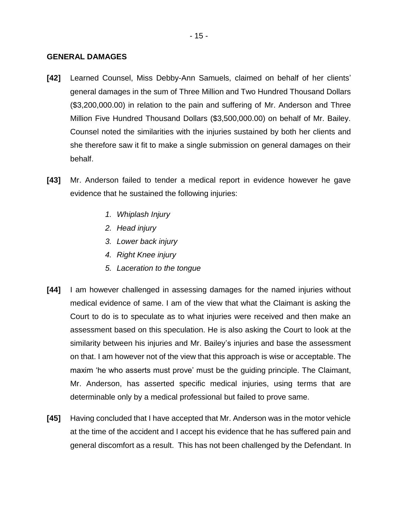#### **GENERAL DAMAGES**

- **[42]** Learned Counsel, Miss Debby-Ann Samuels, claimed on behalf of her clients' general damages in the sum of Three Million and Two Hundred Thousand Dollars (\$3,200,000.00) in relation to the pain and suffering of Mr. Anderson and Three Million Five Hundred Thousand Dollars (\$3,500,000.00) on behalf of Mr. Bailey. Counsel noted the similarities with the injuries sustained by both her clients and she therefore saw it fit to make a single submission on general damages on their behalf.
- **[43]** Mr. Anderson failed to tender a medical report in evidence however he gave evidence that he sustained the following injuries:
	- *1. Whiplash Injury*
	- *2. Head injury*
	- *3. Lower back injury*
	- *4. Right Knee injury*
	- *5. Laceration to the tongue*
- **[44]** I am however challenged in assessing damages for the named injuries without medical evidence of same. I am of the view that what the Claimant is asking the Court to do is to speculate as to what injuries were received and then make an assessment based on this speculation. He is also asking the Court to look at the similarity between his injuries and Mr. Bailey's injuries and base the assessment on that. I am however not of the view that this approach is wise or acceptable. The maxim 'he who asserts must prove' must be the guiding principle. The Claimant, Mr. Anderson, has asserted specific medical injuries, using terms that are determinable only by a medical professional but failed to prove same.
- **[45]** Having concluded that I have accepted that Mr. Anderson was in the motor vehicle at the time of the accident and I accept his evidence that he has suffered pain and general discomfort as a result. This has not been challenged by the Defendant. In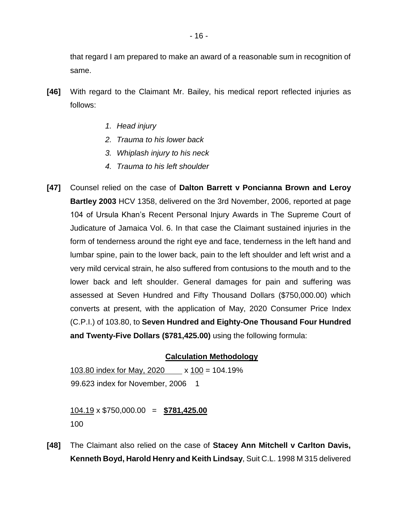that regard I am prepared to make an award of a reasonable sum in recognition of same.

- **[46]** With regard to the Claimant Mr. Bailey, his medical report reflected injuries as follows:
	- *1. Head injury*
	- *2. Trauma to his lower back*
	- *3. Whiplash injury to his neck*
	- *4. Trauma to his left shoulder*
- **[47]** Counsel relied on the case of **Dalton Barrett v Poncianna Brown and Leroy Bartley 2003** HCV 1358, delivered on the 3rd November, 2006, reported at page 104 of Ursula Khan's Recent Personal Injury Awards in The Supreme Court of Judicature of Jamaica Vol. 6. In that case the Claimant sustained injuries in the form of tenderness around the right eye and face, tenderness in the left hand and lumbar spine, pain to the lower back, pain to the left shoulder and left wrist and a very mild cervical strain, he also suffered from contusions to the mouth and to the lower back and left shoulder. General damages for pain and suffering was assessed at Seven Hundred and Fifty Thousand Dollars (\$750,000.00) which converts at present, with the application of May, 2020 Consumer Price Index (C.P.I.) of 103.80, to **Seven Hundred and Eighty-One Thousand Four Hundred and Twenty-Five Dollars (\$781,425.00)** using the following formula:

## **Calculation Methodology**

103.80 index for May, 2020 x 100 = 104.19% 99.623 index for November, 2006 1

104.19 x \$750,000.00 = **\$781,425.00** 100

**[48]** The Claimant also relied on the case of **Stacey Ann Mitchell v Carlton Davis, Kenneth Boyd, Harold Henry and Keith Lindsay**, Suit C.L. 1998 M 315 delivered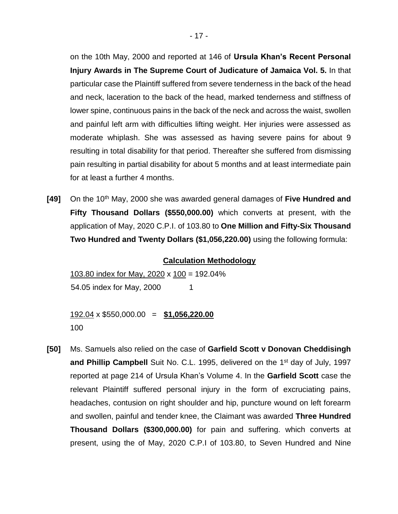on the 10th May, 2000 and reported at 146 of **Ursula Khan's Recent Personal Injury Awards in The Supreme Court of Judicature of Jamaica Vol. 5.** In that particular case the Plaintiff suffered from severe tenderness in the back of the head and neck, laceration to the back of the head, marked tenderness and stiffness of lower spine, continuous pains in the back of the neck and across the waist, swollen and painful left arm with difficulties lifting weight. Her injuries were assessed as moderate whiplash. She was assessed as having severe pains for about 9 resulting in total disability for that period. Thereafter she suffered from dismissing pain resulting in partial disability for about 5 months and at least intermediate pain for at least a further 4 months.

**[49]** On the 10<sup>th</sup> May, 2000 she was awarded general damages of Five Hundred and **Fifty Thousand Dollars (\$550,000.00)** which converts at present, with the application of May, 2020 C.P.I. of 103.80 to **One Million and Fifty-Six Thousand Two Hundred and Twenty Dollars (\$1,056,220.00)** using the following formula:

#### **Calculation Methodology**

103.80 index for May, 2020 x 100 = 192.04% 54.05 index for May, 2000 1

192.04 x \$550,000.00 = **\$1,056,220.00** 100

**[50]** Ms. Samuels also relied on the case of **Garfield Scott v Donovan Cheddisingh**  and Phillip Campbell Suit No. C.L. 1995, delivered on the 1<sup>st</sup> day of July, 1997 reported at page 214 of Ursula Khan's Volume 4. In the **Garfield Scott** case the relevant Plaintiff suffered personal injury in the form of excruciating pains, headaches, contusion on right shoulder and hip, puncture wound on left forearm and swollen, painful and tender knee, the Claimant was awarded **Three Hundred Thousand Dollars (\$300,000.00)** for pain and suffering. which converts at present, using the of May, 2020 C.P.I of 103.80, to Seven Hundred and Nine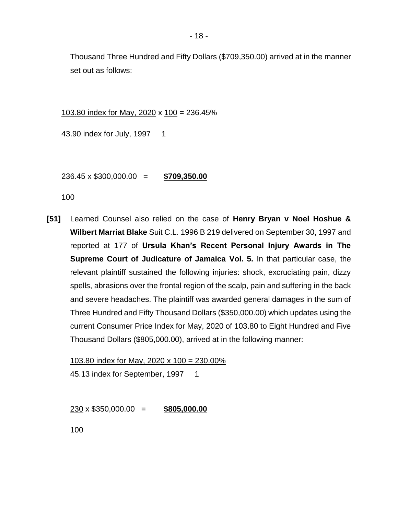Thousand Three Hundred and Fifty Dollars (\$709,350.00) arrived at in the manner set out as follows:

103.80 index for May, 2020 x 100 = 236.45%

43.90 index for July, 1997 1

236.45 x \$300,000.00 = **\$709,350.00**

100

**[51]** Learned Counsel also relied on the case of **Henry Bryan v Noel Hoshue & Wilbert Marriat Blake** Suit C.L. 1996 B 219 delivered on September 30, 1997 and reported at 177 of **Ursula Khan's Recent Personal Injury Awards in The Supreme Court of Judicature of Jamaica Vol. 5.** In that particular case, the relevant plaintiff sustained the following injuries: shock, excruciating pain, dizzy spells, abrasions over the frontal region of the scalp, pain and suffering in the back and severe headaches. The plaintiff was awarded general damages in the sum of Three Hundred and Fifty Thousand Dollars (\$350,000.00) which updates using the current Consumer Price Index for May, 2020 of 103.80 to Eight Hundred and Five Thousand Dollars (\$805,000.00), arrived at in the following manner:

103.80 index for May, 2020 x 100 = 230.00% 45.13 index for September, 1997 1

230 x \$350,000.00 = **\$805,000.00**

100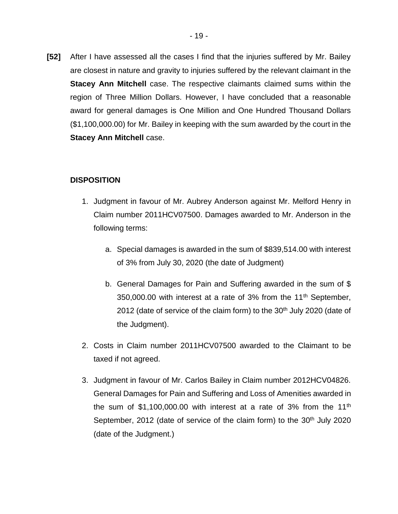**[52]** After I have assessed all the cases I find that the injuries suffered by Mr. Bailey are closest in nature and gravity to injuries suffered by the relevant claimant in the **Stacey Ann Mitchell** case. The respective claimants claimed sums within the region of Three Million Dollars. However, I have concluded that a reasonable award for general damages is One Million and One Hundred Thousand Dollars (\$1,100,000.00) for Mr. Bailey in keeping with the sum awarded by the court in the **Stacey Ann Mitchell** case.

## **DISPOSITION**

- 1. Judgment in favour of Mr. Aubrey Anderson against Mr. Melford Henry in Claim number 2011HCV07500. Damages awarded to Mr. Anderson in the following terms:
	- a. Special damages is awarded in the sum of \$839,514.00 with interest of 3% from July 30, 2020 (the date of Judgment)
	- b. General Damages for Pain and Suffering awarded in the sum of \$ 350,000.00 with interest at a rate of 3% from the  $11<sup>th</sup>$  September, 2012 (date of service of the claim form) to the  $30<sup>th</sup>$  July 2020 (date of the Judgment).
- 2. Costs in Claim number 2011HCV07500 awarded to the Claimant to be taxed if not agreed.
- 3. Judgment in favour of Mr. Carlos Bailey in Claim number 2012HCV04826. General Damages for Pain and Suffering and Loss of Amenities awarded in the sum of \$1,100,000.00 with interest at a rate of  $3\%$  from the 11<sup>th</sup> September, 2012 (date of service of the claim form) to the 30<sup>th</sup> July 2020 (date of the Judgment.)